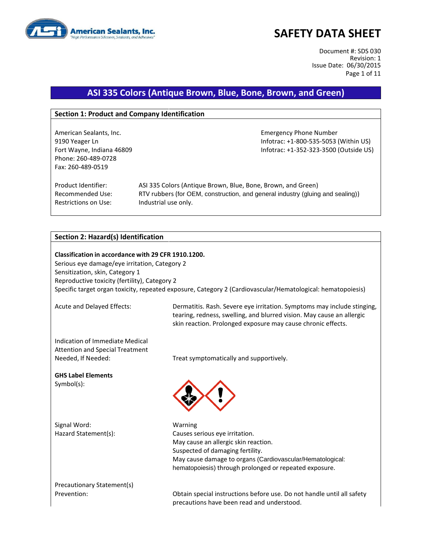

Document #: SDS 030 Revision: 1 Issue Date: 06/30/2015 Page 1 of 11

### **ASI 335 Colors (Antique Brown, Blue, Bone, Brown, and Green)**

#### **Section 1: Product and Company Identification**

American Sealants, Inc. **Emergency Phone Number** Emergency Phone Number Phone: 260-489-0728 Fax: 260-489-0519

9190 Yeager Ln Infotrac: +1-800-535-5053 (Within US) Fort Wayne, Indiana 46809 **Information Controller Server Accord Provide CO**S) **Infotrac: +1-352-323-3500 (Outside US)** 

Restrictions on Use: Industrial use only.

Product Identifier: ASI 335 Colors (Antique Brown, Blue, Bone, Brown, and Green) Recommended Use: RTV rubbers (for OEM, construction, and general industry (gluing and sealing))

#### **Section 2: Hazard(s) Identification**

**Classification in accordance with 29 CFR 1910.1200.** Serious eye damage/eye irritation, Category 2 Sensitization, skin, Category 1 Reproductive toxicity (fertility), Category 2 Specific target organ toxicity, repeated exposure, Category 2 (Cardiovascular/Hematological: hematopoiesis)

Acute and Delayed Effects: Dermatitis. Rash. Severe eye irritation. Symptoms may include stinging, tearing, redness, swelling, and blurred vision. May cause an allergic skin reaction. Prolonged exposure may cause chronic effects.

Indication of Immediate Medical Attention and Special Treatment Needed, If Needed: Treat symptomatically and supportively.

**GHS Label Elements** Symbol(s):

Signal Word: Warning



Hazard Statement(s): Causes serious eye irritation. May cause an allergic skin reaction. Suspected of damaging fertility. May cause damage to organs (Cardiovascular/Hematological: hematopoiesis) through prolonged or repeated exposure.

Precautionary Statement(s)

Prevention: Obtain special instructions before use. Do not handle until all safety precautions have been read and understood.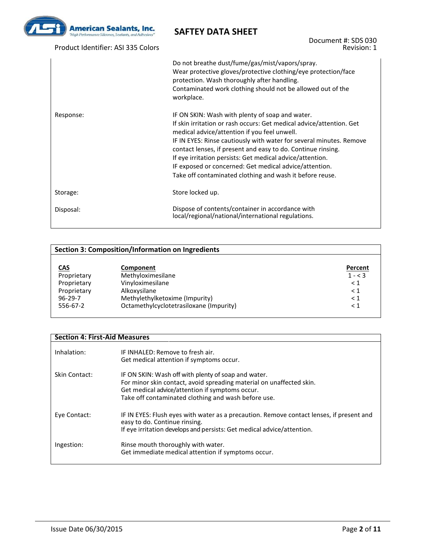

Product Identifier: ASI 335 Colors

Document #: SDS 030 Revision: 1

|           | Do not breathe dust/fume/gas/mist/vapors/spray.<br>Wear protective gloves/protective clothing/eye protection/face<br>protection. Wash thoroughly after handling.<br>Contaminated work clothing should not be allowed out of the<br>workplace.                                                                                                                                                                                                                                                     |
|-----------|---------------------------------------------------------------------------------------------------------------------------------------------------------------------------------------------------------------------------------------------------------------------------------------------------------------------------------------------------------------------------------------------------------------------------------------------------------------------------------------------------|
| Response: | IF ON SKIN: Wash with plenty of soap and water.<br>If skin irritation or rash occurs: Get medical advice/attention. Get<br>medical advice/attention if you feel unwell.<br>IF IN EYES: Rinse cautiously with water for several minutes. Remove<br>contact lenses, if present and easy to do. Continue rinsing.<br>If eye irritation persists: Get medical advice/attention.<br>IF exposed or concerned: Get medical advice/attention.<br>Take off contaminated clothing and wash it before reuse. |
| Storage:  | Store locked up.                                                                                                                                                                                                                                                                                                                                                                                                                                                                                  |
| Disposal: | Dispose of contents/container in accordance with<br>local/regional/national/international regulations.                                                                                                                                                                                                                                                                                                                                                                                            |

| <b>Section 3: Composition/Information on Ingredients</b> |                                         |           |  |
|----------------------------------------------------------|-----------------------------------------|-----------|--|
|                                                          |                                         |           |  |
| <u>CAS</u>                                               | Component                               | Percent   |  |
| Proprietary                                              | Methyloximesilane                       | $1 - < 3$ |  |
| Proprietary                                              | Vinyloximesilane                        | $\leq 1$  |  |
| Proprietary                                              | Alkoxysilane                            | $\leq 1$  |  |
| $96 - 29 - 7$                                            | Methylethylketoxime (Impurity)          | $\leq 1$  |  |
| 556-67-2                                                 | Octamethylcyclotetrasiloxane (Impurity) | $\leq 1$  |  |
|                                                          |                                         |           |  |

| <b>Section 4: First-Aid Measures</b> |                                                                                                                                                                                                                                       |  |  |
|--------------------------------------|---------------------------------------------------------------------------------------------------------------------------------------------------------------------------------------------------------------------------------------|--|--|
| Inhalation:                          | IF INHALED: Remove to fresh air.<br>Get medical attention if symptoms occur.                                                                                                                                                          |  |  |
| Skin Contact:                        | IF ON SKIN: Wash off with plenty of soap and water.<br>For minor skin contact, avoid spreading material on unaffected skin.<br>Get medical advice/attention if symptoms occur.<br>Take off contaminated clothing and wash before use. |  |  |
| Eye Contact:                         | IF IN EYES: Flush eyes with water as a precaution. Remove contact lenses, if present and<br>easy to do. Continue rinsing.<br>If eye irritation develops and persists: Get medical advice/attention.                                   |  |  |
| Ingestion:                           | Rinse mouth thoroughly with water.<br>Get immediate medical attention if symptoms occur.                                                                                                                                              |  |  |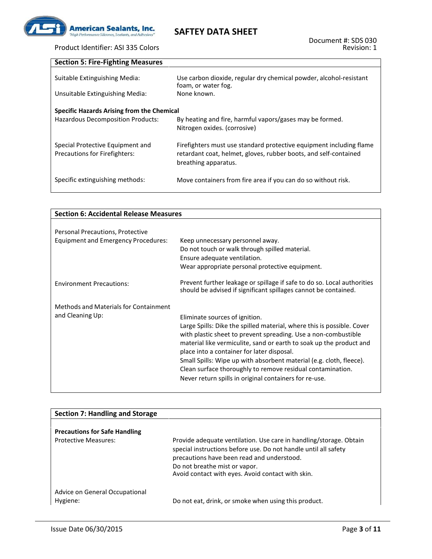

# Product Identifier: ASI 335 Colors

| <b>Section 5: Fire-Fighting Measures</b>                                        |                                                                                                                                                                 |  |  |
|---------------------------------------------------------------------------------|-----------------------------------------------------------------------------------------------------------------------------------------------------------------|--|--|
| Suitable Extinguishing Media:                                                   | Use carbon dioxide, regular dry chemical powder, alcohol-resistant<br>foam, or water fog.                                                                       |  |  |
| Unsuitable Extinguishing Media:                                                 | None known.                                                                                                                                                     |  |  |
| Specific Hazards Arising from the Chemical<br>Hazardous Decomposition Products: | By heating and fire, harmful vapors/gases may be formed.<br>Nitrogen oxides. (corrosive)                                                                        |  |  |
| Special Protective Equipment and<br><b>Precautions for Firefighters:</b>        | Firefighters must use standard protective equipment including flame<br>retardant coat, helmet, gloves, rubber boots, and self-contained<br>breathing apparatus. |  |  |
| Specific extinguishing methods:                                                 | Move containers from fire area if you can do so without risk.                                                                                                   |  |  |

| <b>Section 6: Accidental Release Measures</b> |                                                                                                                                            |  |
|-----------------------------------------------|--------------------------------------------------------------------------------------------------------------------------------------------|--|
|                                               |                                                                                                                                            |  |
| Personal Precautions, Protective              |                                                                                                                                            |  |
| <b>Equipment and Emergency Procedures:</b>    | Keep unnecessary personnel away.                                                                                                           |  |
|                                               | Do not touch or walk through spilled material.<br>Ensure adequate ventilation.                                                             |  |
|                                               | Wear appropriate personal protective equipment.                                                                                            |  |
|                                               |                                                                                                                                            |  |
| <b>Environment Precautions:</b>               | Prevent further leakage or spillage if safe to do so. Local authorities<br>should be advised if significant spillages cannot be contained. |  |
| <b>Methods and Materials for Containment</b>  |                                                                                                                                            |  |
| and Cleaning Up:                              | Eliminate sources of ignition.                                                                                                             |  |
|                                               | Large Spills: Dike the spilled material, where this is possible. Cover                                                                     |  |
|                                               | with plastic sheet to prevent spreading. Use a non-combustible                                                                             |  |
|                                               | material like vermiculite, sand or earth to soak up the product and                                                                        |  |
|                                               | place into a container for later disposal.<br>Small Spills: Wipe up with absorbent material (e.g. cloth, fleece).                          |  |
|                                               | Clean surface thoroughly to remove residual contamination.                                                                                 |  |
|                                               | Never return spills in original containers for re-use.                                                                                     |  |
|                                               |                                                                                                                                            |  |

| <b>Section 7: Handling and Storage</b>     |                                                                                                                                                                                                                                                                           |
|--------------------------------------------|---------------------------------------------------------------------------------------------------------------------------------------------------------------------------------------------------------------------------------------------------------------------------|
|                                            |                                                                                                                                                                                                                                                                           |
| <b>Precautions for Safe Handling</b>       |                                                                                                                                                                                                                                                                           |
| <b>Protective Measures:</b>                | Provide adequate ventilation. Use care in handling/storage. Obtain<br>special instructions before use. Do not handle until all safety<br>precautions have been read and understood.<br>Do not breathe mist or vapor.<br>Avoid contact with eyes. Avoid contact with skin. |
| Advice on General Occupational<br>Hygiene: | Do not eat, drink, or smoke when using this product.                                                                                                                                                                                                                      |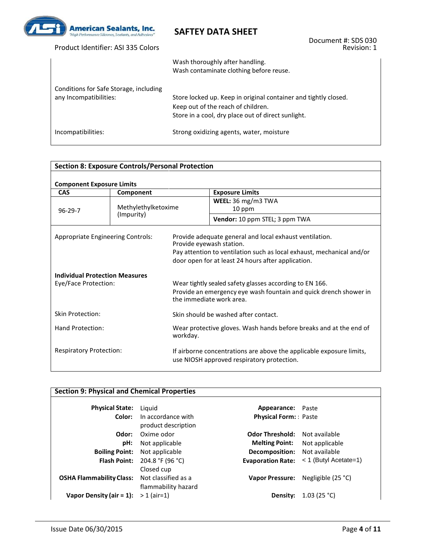

| Product Identifier: ASI 335 Colors                               | Document #: SDS 030<br>Revision: 1                                                                                                                          |
|------------------------------------------------------------------|-------------------------------------------------------------------------------------------------------------------------------------------------------------|
|                                                                  | Wash thoroughly after handling.<br>Wash contaminate clothing before reuse.                                                                                  |
| Conditions for Safe Storage, including<br>any Incompatibilities: | Store locked up. Keep in original container and tightly closed.<br>Keep out of the reach of children.<br>Store in a cool, dry place out of direct sunlight. |
| Incompatibilities:                                               | Strong oxidizing agents, water, moisture                                                                                                                    |

#### **Section 8: Exposure Controls/Personal Protection Component Exposure Limits CAS Component Exposure Limits** 96-29-7 Methylethylketoxime (Impurity) **WEEL:** 36 mg/m3 TWA 10 ppm **Vendor:** 10 ppm STEL; 3 ppm TWA Appropriate Engineering Controls: Provide adequate general and local exhaust ventilation. Provide eyewash station. Pay attention to ventilation such as local exhaust, mechanical and/or door open for at least 24 hours after application. **Individual Protection Measures** Wear tightly sealed safety glasses according to EN 166. Provide an emergency eye wash fountain and quick drench shower in the immediate work area. Skin Protection: Skin should be washed after contact. Hand Protection: Wear protective gloves. Wash hands before breaks and at the end of workday. Respiratory Protection: If airborne concentrations are above the applicable exposure limits, use NIOSH approved respiratory protection.

| <b>Section 9: Physical and Chemical Properties</b> |                                            |                             |                         |  |
|----------------------------------------------------|--------------------------------------------|-----------------------------|-------------------------|--|
| <b>Physical State:</b>                             | Liguid                                     | Appearance: Paste           |                         |  |
| Color:                                             | In accordance with<br>product description  | <b>Physical Form:</b> Paste |                         |  |
| Odor:                                              | Oxime odor                                 | <b>Odor Threshold:</b>      | Not available           |  |
| pH:                                                | Not applicable                             | <b>Melting Point:</b>       | Not applicable          |  |
| <b>Boiling Point:</b>                              | Not applicable                             | <b>Decomposition:</b>       | Not available           |  |
| <b>Flash Point:</b>                                | 204.8 °F (96 °C)<br>Closed cup             | <b>Evaporation Rate:</b>    | $<$ 1 (Butyl Acetate=1) |  |
| <b>OSHA Flammability Class:</b>                    | Not classified as a<br>flammability hazard | <b>Vapor Pressure:</b>      | Negligible (25 °C)      |  |
| Vapor Density (air $= 1$ ):                        | $> 1$ (air=1)                              | Density:                    | 1.03 (25 °C)            |  |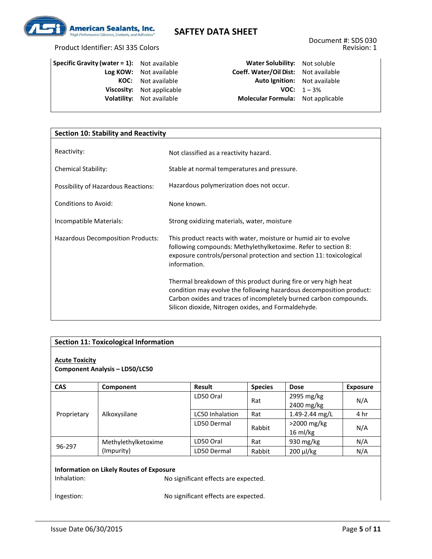

### Product Identifier: ASI 335 Colors

| <b>Specific Gravity (water = 1):</b> Not available |                                  | Water Solubility: Not soluble          |                       |
|----------------------------------------------------|----------------------------------|----------------------------------------|-----------------------|
|                                                    | Log KOW: Not available           | Coeff. Water/Oil Dist: Not availabl    |                       |
|                                                    | <b>KOC:</b> Not available        | Auto Ignition: Not availabl            |                       |
|                                                    | Viscosity: Not applicable        |                                        | <b>VOC:</b> $1 - 3\%$ |
|                                                    | <b>Volatility:</b> Not available | <b>Molecular Formula:</b> Not applical |                       |
|                                                    |                                  |                                        |                       |

**Log KOW:** Not available **Coeff. Water/Oil Dist:** Not available **Auto Ignition:** Not available **VOC:**  $1-3\%$ **Molecular Formula:** Not applicable

| <b>Section 10: Stability and Reactivity</b> |                                                                                                                                                                                                                                                                    |  |  |
|---------------------------------------------|--------------------------------------------------------------------------------------------------------------------------------------------------------------------------------------------------------------------------------------------------------------------|--|--|
| Reactivity:                                 |                                                                                                                                                                                                                                                                    |  |  |
|                                             | Not classified as a reactivity hazard.                                                                                                                                                                                                                             |  |  |
| <b>Chemical Stability:</b>                  | Stable at normal temperatures and pressure.                                                                                                                                                                                                                        |  |  |
| Possibility of Hazardous Reactions:         | Hazardous polymerization does not occur.                                                                                                                                                                                                                           |  |  |
| Conditions to Avoid:                        | None known.                                                                                                                                                                                                                                                        |  |  |
| Incompatible Materials:                     | Strong oxidizing materials, water, moisture                                                                                                                                                                                                                        |  |  |
| Hazardous Decomposition Products:           | This product reacts with water, moisture or humid air to evolve<br>following compounds: Methylethylketoxime. Refer to section 8:<br>exposure controls/personal protection and section 11: toxicological<br>information.                                            |  |  |
|                                             | Thermal breakdown of this product during fire or very high heat<br>condition may evolve the following hazardous decomposition product:<br>Carbon oxides and traces of incompletely burned carbon compounds.<br>Silicon dioxide, Nitrogen oxides, and Formaldehyde. |  |  |

| <b>Section 11: Toxicological Information</b>                                                                                                                 |                     |                        |                |                                      |                 |
|--------------------------------------------------------------------------------------------------------------------------------------------------------------|---------------------|------------------------|----------------|--------------------------------------|-----------------|
| <b>Acute Toxicity</b><br><b>Component Analysis - LD50/LC50</b>                                                                                               |                     |                        |                |                                      |                 |
| <b>CAS</b>                                                                                                                                                   | Component           | <b>Result</b>          | <b>Species</b> | <b>Dose</b>                          | <b>Exposure</b> |
|                                                                                                                                                              | Alkoxysilane        | LD50 Oral              | Rat            | 2995 mg/kg<br>2400 mg/kg             | N/A             |
| Proprietary                                                                                                                                                  |                     | <b>LC50 Inhalation</b> | Rat            | 1.49-2.44 mg/L                       | 4 hr            |
|                                                                                                                                                              |                     | LD50 Dermal            | Rabbit         | $>$ 2000 mg/kg<br>$16 \text{ ml/kg}$ | N/A             |
|                                                                                                                                                              | Methylethylketoxime | LD50 Oral              | Rat            | 930 $mg/kg$                          | N/A             |
| 96-297                                                                                                                                                       | (Impurity)          | LD50 Dermal            | Rabbit         | 200 µl/kg                            | N/A             |
| <b>Information on Likely Routes of Exposure</b><br>Inhalation:<br>No significant effects are expected.<br>No significant effects are expected.<br>Ingestion: |                     |                        |                |                                      |                 |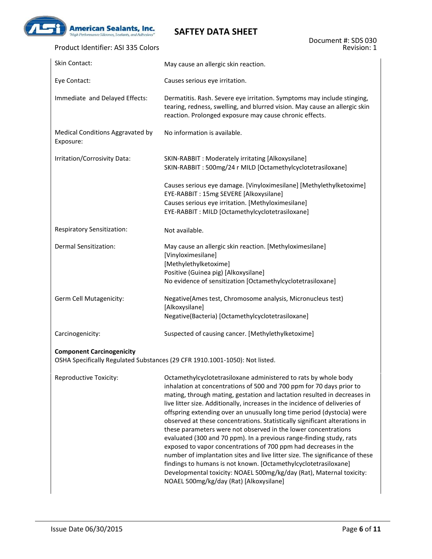

| Product Identifier: ASI 335 Colors            | Revision: 1                                                                                                                                                                                                                                                                                                                                                                                                                                                                                                                                                                                                                                                                                                                                                                                                                                                                                                                                  |
|-----------------------------------------------|----------------------------------------------------------------------------------------------------------------------------------------------------------------------------------------------------------------------------------------------------------------------------------------------------------------------------------------------------------------------------------------------------------------------------------------------------------------------------------------------------------------------------------------------------------------------------------------------------------------------------------------------------------------------------------------------------------------------------------------------------------------------------------------------------------------------------------------------------------------------------------------------------------------------------------------------|
| Skin Contact:                                 | May cause an allergic skin reaction.                                                                                                                                                                                                                                                                                                                                                                                                                                                                                                                                                                                                                                                                                                                                                                                                                                                                                                         |
| Eye Contact:                                  | Causes serious eye irritation.                                                                                                                                                                                                                                                                                                                                                                                                                                                                                                                                                                                                                                                                                                                                                                                                                                                                                                               |
| Immediate and Delayed Effects:                | Dermatitis. Rash. Severe eye irritation. Symptoms may include stinging,<br>tearing, redness, swelling, and blurred vision. May cause an allergic skin<br>reaction. Prolonged exposure may cause chronic effects.                                                                                                                                                                                                                                                                                                                                                                                                                                                                                                                                                                                                                                                                                                                             |
| Medical Conditions Aggravated by<br>Exposure: | No information is available.                                                                                                                                                                                                                                                                                                                                                                                                                                                                                                                                                                                                                                                                                                                                                                                                                                                                                                                 |
| Irritation/Corrosivity Data:                  | SKIN-RABBIT : Moderately irritating [Alkoxysilane]<br>SKIN-RABBIT: 500mg/24 r MILD [Octamethylcyclotetrasiloxane]                                                                                                                                                                                                                                                                                                                                                                                                                                                                                                                                                                                                                                                                                                                                                                                                                            |
|                                               | Causes serious eye damage. [Vinyloximesilane] [Methylethylketoxime]<br>EYE-RABBIT: 15mg SEVERE [Alkoxysilane]<br>Causes serious eye irritation. [Methyloximesilane]<br>EYE-RABBIT: MILD [Octamethylcyclotetrasiloxane]                                                                                                                                                                                                                                                                                                                                                                                                                                                                                                                                                                                                                                                                                                                       |
| Respiratory Sensitization:                    | Not available.                                                                                                                                                                                                                                                                                                                                                                                                                                                                                                                                                                                                                                                                                                                                                                                                                                                                                                                               |
| Dermal Sensitization:                         | May cause an allergic skin reaction. [Methyloximesilane]<br>[Vinyloximesilane]<br>[Methylethylketoxime]<br>Positive (Guinea pig) [Alkoxysilane]<br>No evidence of sensitization [Octamethylcyclotetrasiloxane]                                                                                                                                                                                                                                                                                                                                                                                                                                                                                                                                                                                                                                                                                                                               |
| Germ Cell Mutagenicity:                       | Negative(Ames test, Chromosome analysis, Micronucleus test)<br>[Alkoxysilane]<br>Negative(Bacteria) [Octamethylcyclotetrasiloxane]                                                                                                                                                                                                                                                                                                                                                                                                                                                                                                                                                                                                                                                                                                                                                                                                           |
| Carcinogenicity:                              | Suspected of causing cancer. [Methylethylketoxime]                                                                                                                                                                                                                                                                                                                                                                                                                                                                                                                                                                                                                                                                                                                                                                                                                                                                                           |
| <b>Component Carcinogenicity</b>              | OSHA Specifically Regulated Substances (29 CFR 1910.1001-1050): Not listed.                                                                                                                                                                                                                                                                                                                                                                                                                                                                                                                                                                                                                                                                                                                                                                                                                                                                  |
| Reproductive Toxicity:                        | Octamethylcyclotetrasiloxane administered to rats by whole body<br>inhalation at concentrations of 500 and 700 ppm for 70 days prior to<br>mating, through mating, gestation and lactation resulted in decreases in<br>live litter size. Additionally, increases in the incidence of deliveries of<br>offspring extending over an unusually long time period (dystocia) were<br>observed at these concentrations. Statistically significant alterations in<br>these parameters were not observed in the lower concentrations<br>evaluated (300 and 70 ppm). In a previous range-finding study, rats<br>exposed to vapor concentrations of 700 ppm had decreases in the<br>number of implantation sites and live litter size. The significance of these<br>findings to humans is not known. [Octamethylcyclotetrasiloxane]<br>Developmental toxicity: NOAEL 500mg/kg/day (Rat), Maternal toxicity:<br>NOAEL 500mg/kg/day (Rat) [Alkoxysilane] |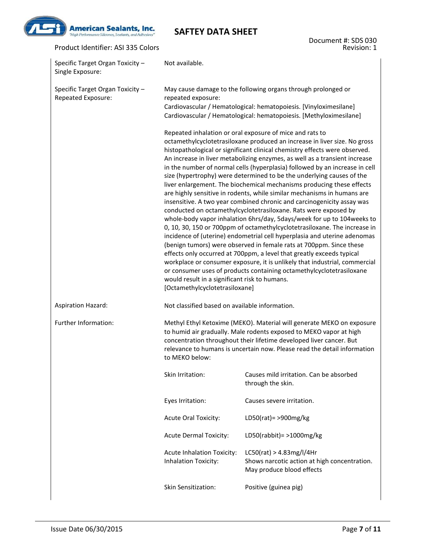

#### Product Identifier: ASI 335 Colors

Document #: SDS 030 Revision: 1

| Specific Target Organ Toxicity -<br>Single Exposure:   | Not available.                                                                                                                                                                                                                                                                                                                                                                                                                                                                                                                                                                                                                                                                                                                                                                                                                                                                                                                                                                                                                                                                                                                                                                                                                                                                                                                                                                          |                                                                                                       |  |  |
|--------------------------------------------------------|-----------------------------------------------------------------------------------------------------------------------------------------------------------------------------------------------------------------------------------------------------------------------------------------------------------------------------------------------------------------------------------------------------------------------------------------------------------------------------------------------------------------------------------------------------------------------------------------------------------------------------------------------------------------------------------------------------------------------------------------------------------------------------------------------------------------------------------------------------------------------------------------------------------------------------------------------------------------------------------------------------------------------------------------------------------------------------------------------------------------------------------------------------------------------------------------------------------------------------------------------------------------------------------------------------------------------------------------------------------------------------------------|-------------------------------------------------------------------------------------------------------|--|--|
| Specific Target Organ Toxicity -<br>Repeated Exposure: | May cause damage to the following organs through prolonged or<br>repeated exposure:<br>Cardiovascular / Hematological: hematopoiesis. [Vinyloximesilane]<br>Cardiovascular / Hematological: hematopoiesis. [Methyloximesilane]                                                                                                                                                                                                                                                                                                                                                                                                                                                                                                                                                                                                                                                                                                                                                                                                                                                                                                                                                                                                                                                                                                                                                          |                                                                                                       |  |  |
|                                                        | Repeated inhalation or oral exposure of mice and rats to<br>octamethylcyclotetrasiloxane produced an increase in liver size. No gross<br>histopathological or significant clinical chemistry effects were observed.<br>An increase in liver metabolizing enzymes, as well as a transient increase<br>in the number of normal cells (hyperplasia) followed by an increase in cell<br>size (hypertrophy) were determined to be the underlying causes of the<br>liver enlargement. The biochemical mechanisms producing these effects<br>are highly sensitive in rodents, while similar mechanisms in humans are<br>insensitive. A two year combined chronic and carcinogenicity assay was<br>conducted on octamethylcyclotetrasiloxane. Rats were exposed by<br>whole-body vapor inhalation 6hrs/day, 5days/week for up to 104 weeks to<br>0, 10, 30, 150 or 700ppm of octamethylcyclotetrasiloxane. The increase in<br>incidence of (uterine) endometrial cell hyperplasia and uterine adenomas<br>(benign tumors) were observed in female rats at 700ppm. Since these<br>effects only occurred at 700ppm, a level that greatly exceeds typical<br>workplace or consumer exposure, it is unlikely that industrial, commercial<br>or consumer uses of products containing octamethylcyclotetrasiloxane<br>would result in a significant risk to humans.<br>[Octamethylcyclotetrasiloxane] |                                                                                                       |  |  |
| <b>Aspiration Hazard:</b>                              | Not classified based on available information.                                                                                                                                                                                                                                                                                                                                                                                                                                                                                                                                                                                                                                                                                                                                                                                                                                                                                                                                                                                                                                                                                                                                                                                                                                                                                                                                          |                                                                                                       |  |  |
| Further Information:                                   | Methyl Ethyl Ketoxime (MEKO). Material will generate MEKO on exposure<br>to humid air gradually. Male rodents exposed to MEKO vapor at high<br>concentration throughout their lifetime developed liver cancer. But<br>relevance to humans is uncertain now. Please read the detail information<br>to MEKO below:                                                                                                                                                                                                                                                                                                                                                                                                                                                                                                                                                                                                                                                                                                                                                                                                                                                                                                                                                                                                                                                                        |                                                                                                       |  |  |
|                                                        | Causes mild irritation. Can be absorbed<br>Skin Irritation:<br>through the skin.                                                                                                                                                                                                                                                                                                                                                                                                                                                                                                                                                                                                                                                                                                                                                                                                                                                                                                                                                                                                                                                                                                                                                                                                                                                                                                        |                                                                                                       |  |  |
|                                                        | Eyes Irritation:                                                                                                                                                                                                                                                                                                                                                                                                                                                                                                                                                                                                                                                                                                                                                                                                                                                                                                                                                                                                                                                                                                                                                                                                                                                                                                                                                                        | Causes severe irritation.                                                                             |  |  |
|                                                        | Acute Oral Toxicity:                                                                                                                                                                                                                                                                                                                                                                                                                                                                                                                                                                                                                                                                                                                                                                                                                                                                                                                                                                                                                                                                                                                                                                                                                                                                                                                                                                    | LD50(rat)= >900mg/kg                                                                                  |  |  |
|                                                        | <b>Acute Dermal Toxicity:</b>                                                                                                                                                                                                                                                                                                                                                                                                                                                                                                                                                                                                                                                                                                                                                                                                                                                                                                                                                                                                                                                                                                                                                                                                                                                                                                                                                           | LD50(rabbit) = $>1000$ mg/kg                                                                          |  |  |
|                                                        | Acute Inhalation Toxicity:<br>Inhalation Toxicity:                                                                                                                                                                                                                                                                                                                                                                                                                                                                                                                                                                                                                                                                                                                                                                                                                                                                                                                                                                                                                                                                                                                                                                                                                                                                                                                                      | LCSO(rat) > 4.83mg/l/4Hr<br>Shows narcotic action at high concentration.<br>May produce blood effects |  |  |
|                                                        | Skin Sensitization:                                                                                                                                                                                                                                                                                                                                                                                                                                                                                                                                                                                                                                                                                                                                                                                                                                                                                                                                                                                                                                                                                                                                                                                                                                                                                                                                                                     | Positive (guinea pig)                                                                                 |  |  |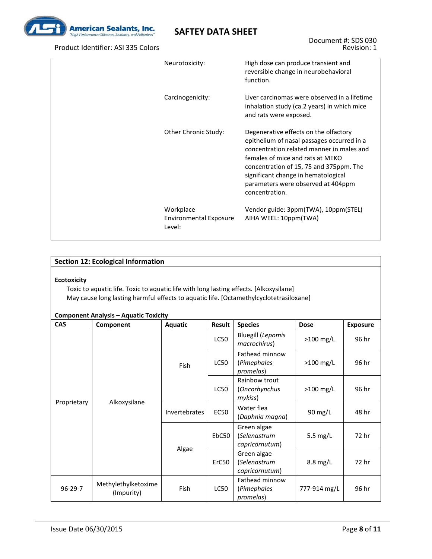

#### Product Identifier: ASI 335 Colors

| Neurotoxicity:                                       | High dose can produce transient and<br>reversible change in neurobehavioral<br>function.                                                                                                                                                                                                                       |
|------------------------------------------------------|----------------------------------------------------------------------------------------------------------------------------------------------------------------------------------------------------------------------------------------------------------------------------------------------------------------|
| Carcinogenicity:                                     | Liver carcinomas were observed in a lifetime<br>inhalation study (ca.2 years) in which mice<br>and rats were exposed.                                                                                                                                                                                          |
| Other Chronic Study:                                 | Degenerative effects on the olfactory<br>epithelium of nasal passages occurred in a<br>concentration related manner in males and<br>females of mice and rats at MEKO<br>concentration of 15, 75 and 375ppm. The<br>significant change in hematological<br>parameters were observed at 404ppm<br>concentration. |
| Workplace<br><b>Environmental Exposure</b><br>Level: | Vendor guide: 3ppm(TWA), 10ppm(STEL)<br>AIHA WEEL: 10ppm(TWA)                                                                                                                                                                                                                                                  |

#### **Section 12: Ecological Information**

#### **Ecotoxicity**

Toxic to aquatic life. Toxic to aquatic life with long lasting effects. [Alkoxysilane] May cause long lasting harmful effects to aquatic life. [Octamethylcyclotetrasiloxane]

#### **Component Analysis – Aquatic Toxicity**

| <b>CAS</b>                                         | Component    | Aquatic       | Result<br><b>Species</b> |                                               | <b>Dose</b>  | <b>Exposure</b> |  |
|----------------------------------------------------|--------------|---------------|--------------------------|-----------------------------------------------|--------------|-----------------|--|
|                                                    | Alkoxysilane | <b>Fish</b>   | LC50                     | <b>Bluegill (Lepomis</b><br>macrochirus)      | $>100$ mg/L  | 96 hr           |  |
| Proprietary                                        |              |               | LC50                     | Fathead minnow<br>(Pimephales<br>promelas)    | $>100$ mg/L  | 96 hr           |  |
|                                                    |              |               | <b>LC50</b>              | Rainbow trout<br>(Oncorhynchus<br>mykiss)     | $>100$ mg/L  | 96 hr           |  |
|                                                    |              | Invertebrates | <b>EC50</b>              | Water flea<br>(Daphnia magna)                 | 90 mg/L      | 48 hr           |  |
|                                                    |              | Algae         | EbC50                    | Green algae<br>(Selenastrum<br>capricornutum) | 5.5 $mg/L$   | 72 hr           |  |
|                                                    |              |               | ErC50                    | Green algae<br>(Selenastrum<br>capricornutum) | $8.8$ mg/L   | 72 hr           |  |
| Methylethylketoxime<br>$96 - 29 - 7$<br>(Impurity) |              | Fish          | LC50                     | Fathead minnow<br>(Pimephales<br>promelas)    | 777-914 mg/L | 96 hr           |  |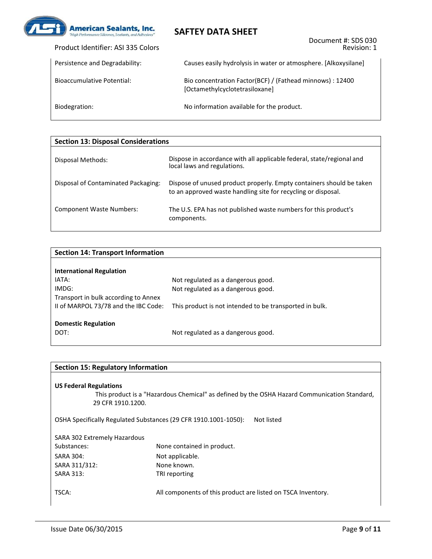

| Product Identifier: ASI 335 Colors |  |
|------------------------------------|--|
|------------------------------------|--|

| Persistence and Degradability: | Causes easily hydrolysis in water or atmosphere. [Alkoxysilane]                             |
|--------------------------------|---------------------------------------------------------------------------------------------|
| Bioaccumulative Potential:     | Bio concentration Factor(BCF) / (Fathead minnows) : 12400<br>[Octamethylcyclotetrasiloxane] |
| Biodegration:                  | No information available for the product.                                                   |

| <b>Section 13: Disposal Considerations</b> |                                                                                                                                       |  |  |  |  |
|--------------------------------------------|---------------------------------------------------------------------------------------------------------------------------------------|--|--|--|--|
| Disposal Methods:                          | Dispose in accordance with all applicable federal, state/regional and<br>local laws and regulations.                                  |  |  |  |  |
| Disposal of Contaminated Packaging:        | Dispose of unused product properly. Empty containers should be taken<br>to an approved waste handling site for recycling or disposal. |  |  |  |  |
| <b>Component Waste Numbers:</b>            | The U.S. EPA has not published waste numbers for this product's<br>components.                                                        |  |  |  |  |

| <b>Section 14: Transport Information</b> |                                                         |  |  |  |  |
|------------------------------------------|---------------------------------------------------------|--|--|--|--|
|                                          |                                                         |  |  |  |  |
| <b>International Regulation</b>          |                                                         |  |  |  |  |
| IATA:                                    | Not regulated as a dangerous good.                      |  |  |  |  |
| IMDG:                                    | Not regulated as a dangerous good.                      |  |  |  |  |
| Transport in bulk according to Annex     |                                                         |  |  |  |  |
| II of MARPOL 73/78 and the IBC Code:     | This product is not intended to be transported in bulk. |  |  |  |  |
|                                          |                                                         |  |  |  |  |
| <b>Domestic Regulation</b>               |                                                         |  |  |  |  |
| DOT:                                     | Not regulated as a dangerous good.                      |  |  |  |  |
|                                          |                                                         |  |  |  |  |

| <b>Section 15: Regulatory Information</b>                                                                                                          |                                                                               |  |  |  |  |
|----------------------------------------------------------------------------------------------------------------------------------------------------|-------------------------------------------------------------------------------|--|--|--|--|
| <b>US Federal Regulations</b><br>This product is a "Hazardous Chemical" as defined by the OSHA Hazard Communication Standard,<br>29 CFR 1910.1200. |                                                                               |  |  |  |  |
|                                                                                                                                                    | OSHA Specifically Regulated Substances (29 CFR 1910.1001-1050):<br>Not listed |  |  |  |  |
| SARA 302 Extremely Hazardous                                                                                                                       |                                                                               |  |  |  |  |
| Substances:                                                                                                                                        | None contained in product.                                                    |  |  |  |  |
| <b>SARA 304:</b>                                                                                                                                   | Not applicable.                                                               |  |  |  |  |
| SARA 311/312:                                                                                                                                      | None known.                                                                   |  |  |  |  |
| <b>SARA 313:</b>                                                                                                                                   | TRI reporting                                                                 |  |  |  |  |
| TSCA:                                                                                                                                              | All components of this product are listed on TSCA Inventory.                  |  |  |  |  |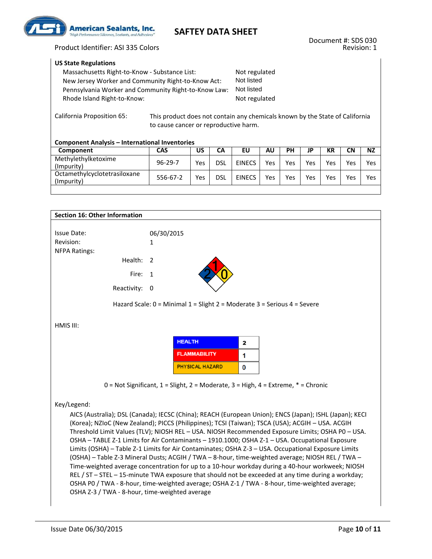

#### **US State Regulations**

| Massachusetts Right-to-Know - Substance List:        | Not regulated |
|------------------------------------------------------|---------------|
| New Jersey Worker and Community Right-to-Know Act:   | Not listed    |
| Pennsylvania Worker and Community Right-to-Know Law: | Not listed    |
| Rhode Island Right-to-Know:                          | Not regulated |
|                                                      |               |

California Proposition 65: This product does not contain any chemicals known by the State of California to cause cancer or reproductive harm.

#### **Component Analysis – International Inventories**

| Component                                  | <b>CAS</b>    | US  | CА         | EU            | <b>AU</b> | PН  | JP  | КR  | CN  | <b>NZ</b> |
|--------------------------------------------|---------------|-----|------------|---------------|-----------|-----|-----|-----|-----|-----------|
| Methylethylketoxime<br>(Impurity)          | $96 - 29 - 7$ | Yes | <b>DSL</b> | <b>EINECS</b> | Yes       | Yes | Yes | Yes | Yes | Yes       |
| Octamethylcyclotetrasiloxane<br>(Impurity) | 556-67-2      | Yes | dsl        | <b>EINECS</b> | Yes       | Yes | Yes | Yes | Yes | Yes       |

| <b>Section 16: Other Information</b>           |                                                                                                                                                                                                                                                                                                                                                                                                                                                                                                                                                                                                                                                                                                                                   |
|------------------------------------------------|-----------------------------------------------------------------------------------------------------------------------------------------------------------------------------------------------------------------------------------------------------------------------------------------------------------------------------------------------------------------------------------------------------------------------------------------------------------------------------------------------------------------------------------------------------------------------------------------------------------------------------------------------------------------------------------------------------------------------------------|
|                                                |                                                                                                                                                                                                                                                                                                                                                                                                                                                                                                                                                                                                                                                                                                                                   |
| <b>Issue Date:</b>                             | 06/30/2015                                                                                                                                                                                                                                                                                                                                                                                                                                                                                                                                                                                                                                                                                                                        |
| Revision:                                      | 1                                                                                                                                                                                                                                                                                                                                                                                                                                                                                                                                                                                                                                                                                                                                 |
| <b>NFPA Ratings:</b>                           |                                                                                                                                                                                                                                                                                                                                                                                                                                                                                                                                                                                                                                                                                                                                   |
| Health:                                        | 2                                                                                                                                                                                                                                                                                                                                                                                                                                                                                                                                                                                                                                                                                                                                 |
| Fire:                                          | 1                                                                                                                                                                                                                                                                                                                                                                                                                                                                                                                                                                                                                                                                                                                                 |
| Reactivity:                                    | - 0                                                                                                                                                                                                                                                                                                                                                                                                                                                                                                                                                                                                                                                                                                                               |
|                                                | Hazard Scale: 0 = Minimal 1 = Slight 2 = Moderate 3 = Serious 4 = Severe                                                                                                                                                                                                                                                                                                                                                                                                                                                                                                                                                                                                                                                          |
| HMIS III:                                      |                                                                                                                                                                                                                                                                                                                                                                                                                                                                                                                                                                                                                                                                                                                                   |
|                                                | <b>HEALTH</b><br>2                                                                                                                                                                                                                                                                                                                                                                                                                                                                                                                                                                                                                                                                                                                |
|                                                | <b>FLAMMABILITY</b><br>1                                                                                                                                                                                                                                                                                                                                                                                                                                                                                                                                                                                                                                                                                                          |
|                                                | <b>PHYSICAL HAZARD</b><br>0                                                                                                                                                                                                                                                                                                                                                                                                                                                                                                                                                                                                                                                                                                       |
|                                                | $0 = Not$ Significant, $1 =$ Slight, $2 =$ Moderate, $3 =$ High, $4 =$ Extreme, $* =$ Chronic                                                                                                                                                                                                                                                                                                                                                                                                                                                                                                                                                                                                                                     |
|                                                |                                                                                                                                                                                                                                                                                                                                                                                                                                                                                                                                                                                                                                                                                                                                   |
| Key/Legend:                                    |                                                                                                                                                                                                                                                                                                                                                                                                                                                                                                                                                                                                                                                                                                                                   |
|                                                | AICS (Australia); DSL (Canada); IECSC (China); REACH (European Union); ENCS (Japan); ISHL (Japan); KECI<br>(Korea); NZIoC (New Zealand); PICCS (Philippines); TCSI (Taiwan); TSCA (USA); ACGIH - USA. ACGIH<br>Threshold Limit Values (TLV); NIOSH REL - USA. NIOSH Recommended Exposure Limits; OSHA P0 - USA.<br>OSHA - TABLE Z-1 Limits for Air Contaminants - 1910.1000; OSHA Z-1 - USA. Occupational Exposure<br>Limits (OSHA) - Table Z-1 Limits for Air Contaminates; OSHA Z-3 - USA. Occupational Exposure Limits<br>(OSHA) - Table Z-3 Mineral Dusts; ACGIH / TWA - 8-hour, time-weighted average; NIOSH REL / TWA -<br>Time-weighted average concentration for up to a 10-hour workday during a 40-hour workweek; NIOSH |
| OSHA Z-3 / TWA - 8-hour, time-weighted average | REL / ST - STEL - 15-minute TWA exposure that should not be exceeded at any time during a workday;<br>OSHA P0 / TWA - 8-hour, time-weighted average; OSHA Z-1 / TWA - 8-hour, time-weighted average;                                                                                                                                                                                                                                                                                                                                                                                                                                                                                                                              |